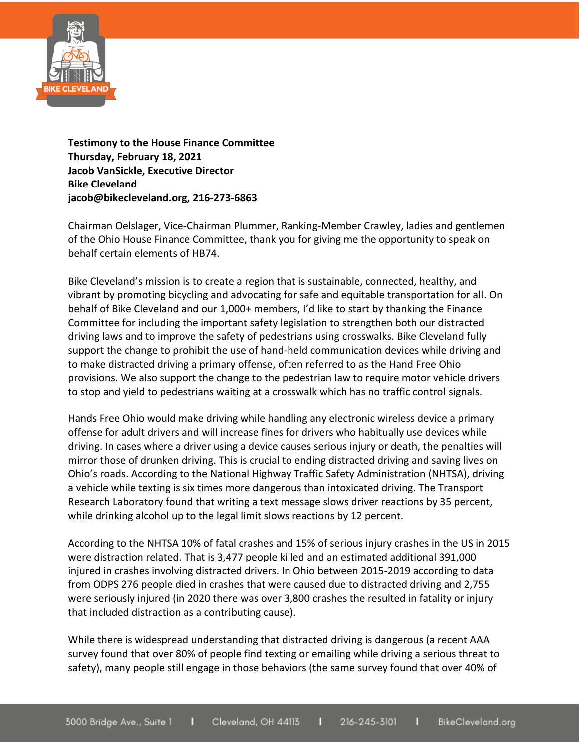

**Testimony to the House Finance Committee Thursday, February 18, 2021 Jacob VanSickle, Executive Director Bike Cleveland jacob@bikecleveland.org, 216-273-6863**

Chairman Oelslager, Vice-Chairman Plummer, Ranking-Member Crawley, ladies and gentlemen of the Ohio House Finance Committee, thank you for giving me the opportunity to speak on behalf certain elements of HB74.

Bike Cleveland's mission is to create a region that is sustainable, connected, healthy, and vibrant by promoting bicycling and advocating for safe and equitable transportation for all. On behalf of Bike Cleveland and our 1,000+ members, I'd like to start by thanking the Finance Committee for including the important safety legislation to strengthen both our distracted driving laws and to improve the safety of pedestrians using crosswalks. Bike Cleveland fully support the change to prohibit the use of hand-held communication devices while driving and to make distracted driving a primary offense, often referred to as the Hand Free Ohio provisions. We also support the change to the pedestrian law to require motor vehicle drivers to stop and yield to pedestrians waiting at a crosswalk which has no traffic control signals.

Hands Free Ohio would make driving while handling any electronic wireless device a primary offense for adult drivers and will increase fines for drivers who habitually use devices while driving. In cases where a driver using a device causes serious injury or death, the penalties will mirror those of drunken driving. This is crucial to ending distracted driving and saving lives on Ohio's roads. According to the National Highway Traffic Safety Administration (NHTSA), driving a vehicle while texting is six times more dangerous than intoxicated driving. The Transport Research Laboratory found that writing a text message slows driver reactions by 35 percent, while drinking alcohol up to the legal limit slows reactions by 12 percent.

According to the NHTSA 10% of fatal crashes and 15% of serious injury crashes in the US in 2015 were distraction related. That is 3,477 people killed and an estimated additional 391,000 injured in crashes involving distracted drivers. In Ohio between 2015-2019 according to data from ODPS 276 people died in crashes that were caused due to distracted driving and 2,755 were seriously injured (in 2020 there was over 3,800 crashes the resulted in fatality or injury that included distraction as a contributing cause).

While there is widespread understanding that distracted driving is dangerous (a recent AAA survey found that over 80% of people find texting or emailing while driving a serious threat to safety), many people still engage in those behaviors (the same survey found that over 40% of